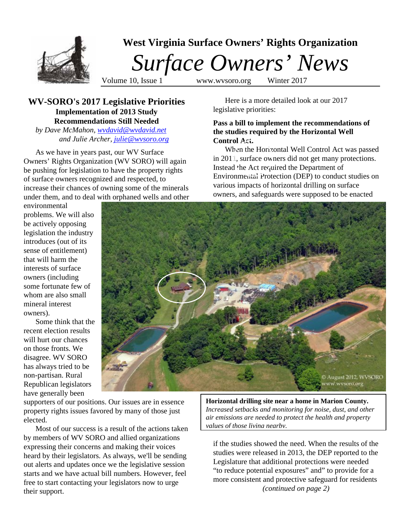

# **WV-SORO's 2017 Legislative Priorities Implementation of 2013 Study Recommendations Still Needed**

*by Dave McMahon, [wvdavid@wvdavid.net](mailto:wvdavid@wvdavid.net) and Julie Archer, [julie@wvsoro.org](mailto:julie@wvsoro.org)*

As we have in years past, our WV Surface Owners' Rights Organization (WV SORO) will again be pushing for legislation to have the property rights of surface owners recognized and respected, to increase their chances of owning some of the minerals under them, and to deal with orphaned wells and other

environmental problems. We will also be actively opposing legislation the industry introduces (out of its sense of entitlement) that will harm the interests of surface owners (including some fortunate few of whom are also small mineral interest owners).

Some think that the recent election results will hurt our chances on those fronts. We disagree. WV SORO has always tried to be non-partisan. Rural Republican legislators have generally been

Here is a more detailed look at our 2017 legislative priorities:

## **Pass a bill to implement the recommendations of the studies required by the Horizontal Well Control Act.**

When the Horizontal Well Control Act was passed in 2011, surface owners did not get many protections. Instead the Act required the Department of Environmental Protection (DEP) to conduct studies on various impacts of horizontal drilling on surface owners, and safeguards were supposed to be enacted



supporters of our positions. Our issues are in essence property rights issues favored by many of those just elected.

Most of our success is a result of the actions taken by members of WV SORO and allied organizations expressing their concerns and making their voices heard by their legislators. As always, we'll be sending out alerts and updates once we the legislative session starts and we have actual bill numbers. However, feel free to start contacting your legislators now to urge their support.

**Horizontal drilling site near a home in Marion County.** *Increased setbacks and monitoring for noise, dust, and other air emissions are needed to protect the health and property values of those living nearby.*

if the studies showed the need. When the results of the studies were released in 2013, the DEP reported to the Legislature that additional protections were needed "to reduce potential exposures" and" to provide for a more consistent and protective safeguard for residents *(continued on page 2)*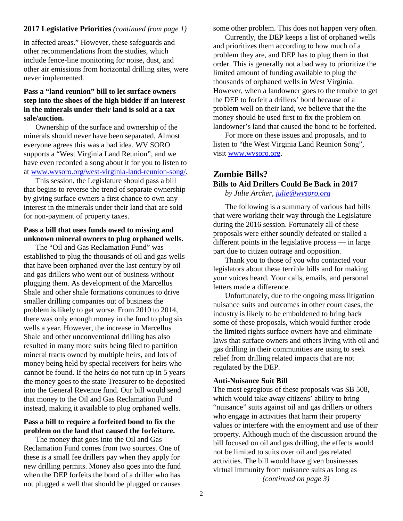## **2017 Legislative Priorities** *(continued from page 1)*

in affected areas." However, these safeguards and other recommendations from the studies, which include fence-line monitoring for noise, dust, and other air emissions from horizontal drilling sites, were never implemented.

# **Pass a "land reunion" bill to let surface owners step into the shoes of the high bidder if an interest in the minerals under their land is sold at a tax sale/auction.**

Ownership of the surface and ownership of the minerals should never have been separated. Almost everyone agrees this was a bad idea. WV SORO supports a "West Virginia Land Reunion", and we have even recorded a song about it for you to listen to at [www.wvsoro.org/west-virginia-land-reunion-song/.](http://www.wvsoro.org/west-virginia-land-reunion-song/)

This session, the Legislature should pass a bill that begins to reverse the trend of separate ownership by giving surface owners a first chance to own any interest in the minerals under their land that are sold for non-payment of property taxes.

# **Pass a bill that uses funds owed to missing and unknown mineral owners to plug orphaned wells.**

The "Oil and Gas Reclamation Fund" was established to plug the thousands of oil and gas wells that have been orphaned over the last century by oil and gas drillers who went out of business without plugging them. As development of the Marcellus Shale and other shale formations continues to drive smaller drilling companies out of business the problem is likely to get worse. From 2010 to 2014, there was only enough money in the fund to plug six wells a year. However, the increase in Marcellus Shale and other unconventional drilling has also resulted in many more suits being filed to partition mineral tracts owned by multiple heirs, and lots of money being held by special receivers for heirs who cannot be found. If the heirs do not turn up in 5 years the money goes to the state Treasurer to be deposited into the General Revenue fund. Our bill would send that money to the Oil and Gas Reclamation Fund instead, making it available to plug orphaned wells.

## **Pass a bill to require a forfeited bond to fix the problem on the land that caused the forfeiture.**

The money that goes into the Oil and Gas Reclamation Fund comes from two sources. One of these is a small fee drillers pay when they apply for new drilling permits. Money also goes into the fund when the DEP forfeits the bond of a driller who has not plugged a well that should be plugged or causes

some other problem. This does not happen very often.

Currently, the DEP keeps a list of orphaned wells and prioritizes them according to how much of a problem they are, and DEP has to plug them in that order. This is generally not a bad way to prioritize the limited amount of funding available to plug the thousands of orphaned wells in West Virginia. However, when a landowner goes to the trouble to get the DEP to forfeit a drillers' bond because of a problem well on their land, we believe that the the money should be used first to fix the problem on landowner's land that caused the bond to be forfeited.

For more on these issues and proposals, and to listen to "the West Virginia Land Reunion Song", visit [www.wvsoro.org.](http://www.wvsoro.org/)

# **Zombie Bills?**

# **Bills to Aid Drillers Could Be Back in 2017**

*by Julie Archer, [julie@wvsoro.org](mailto:julie@wvsoro.org)*

The following is a summary of various bad bills that were working their way through the Legislature during the 2016 session. Fortunately all of these proposals were either soundly defeated or stalled a different points in the legislative process — in large part due to citizen outrage and opposition.

Thank you to those of you who contacted your legislators about these terrible bills and for making your voices heard. Your calls, emails, and personal letters made a difference.

Unfortunately, due to the ongoing mass litigation nuisance suits and outcomes in other court cases, the industry is likely to be emboldened to bring back some of these proposals, which would further erode the limited rights surface owners have and eliminate laws that surface owners and others living with oil and gas drilling in their communities are using to seek relief from drilling related impacts that are not regulated by the DEP.

### **Anti-Nuisance Suit Bill**

The most egregious of these proposals was SB 508, which would take away citizens' ability to bring "nuisance" suits against oil and gas drillers or others who engage in activities that harm their property values or interfere with the enjoyment and use of their property. Although much of the discussion around the bill focused on oil and gas drilling, the effects would not be limited to suits over oil and gas related activities. The bill would have given businesses virtual immunity from nuisance suits as long as *(continued on page 3)*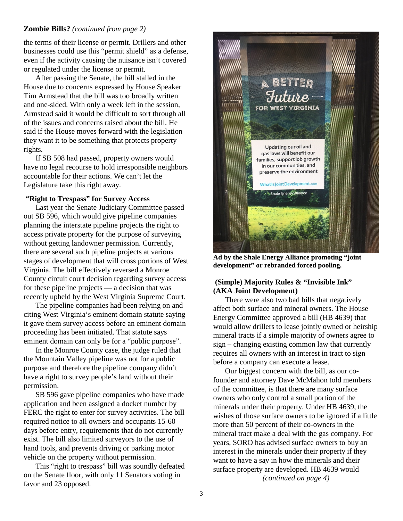## **Zombie Bills?** *(continued from page 2)*

the terms of their license or permit. Drillers and other businesses could use this "permit shield" as a defense, even if the activity causing the nuisance isn't covered or regulated under the license or permit.

After passing the Senate, the bill stalled in the House due to concerns expressed by House Speaker Tim Armstead that the bill was too broadly written and one-sided. With only a week left in the session, Armstead said it would be difficult to sort through all of the issues and concerns raised about the bill. He said if the House moves forward with the legislation they want it to be something that protects property rights.

If SB 508 had passed, property owners would have no legal recourse to hold irresponsible neighbors accountable for their actions. We can't let the Legislature take this right away.

### **"Right to Trespass" for Survey Access**

Last year the Senate Judiciary Committee passed out SB 596, which would give pipeline companies planning the interstate pipeline projects the right to access private property for the purpose of surveying without getting landowner permission. Currently, there are several such pipeline projects at various stages of development that will cross portions of West Virginia. The bill effectively reversed a Monroe County circuit court decision regarding survey access for these pipeline projects — a decision that was recently upheld by the West Virginia Supreme Court.

The pipeline companies had been relying on and citing West Virginia's eminent domain statute saying it gave them survey access before an eminent domain proceeding has been initiated. That statute says eminent domain can only be for a "public purpose".

In the Monroe County case, the judge ruled that the Mountain Valley pipeline was not for a public purpose and therefore the pipeline company didn't have a right to survey people's land without their permission.

SB 596 gave pipeline companies who have made application and been assigned a docket number by FERC the right to enter for survey activities. The bill required notice to all owners and occupants 15-60 days before entry, requirements that do not currently exist. The bill also limited surveyors to the use of hand tools, and prevents driving or parking motor vehicle on the property without permission.

This "right to trespass" bill was soundly defeated on the Senate floor, with only 11 Senators voting in favor and 23 opposed.



**Ad by the Shale Energy Alliance promoting "joint development" or rebranded forced pooling.** 

## **(Simple) Majority Rules & "Invisible Ink" (AKA Joint Development)**

There were also two bad bills that negatively affect both surface and mineral owners. The House Energy Committee approved a bill (HB 4639) that would allow drillers to lease jointly owned or heirship mineral tracts if a simple majority of owners agree to sign – changing existing common law that currently requires all owners with an interest in tract to sign before a company can execute a lease.

Our biggest concern with the bill, as our cofounder and attorney Dave McMahon told members of the committee, is that there are many surface owners who only control a small portion of the minerals under their property. Under HB 4639, the wishes of those surface owners to be ignored if a little more than 50 percent of their co-owners in the mineral tract make a deal with the gas company. For years, SORO has advised surface owners to buy an interest in the minerals under their property if they want to have a say in how the minerals and their surface property are developed. HB 4639 would *(continued on page 4)*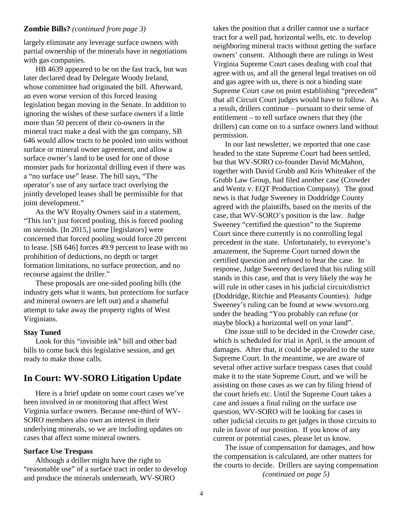### **Zombie Bills?** *(continued from page 3)*

largely eliminate any leverage surface owners with partial ownership of the minerals have in negotiations with gas companies.

HB 4639 appeared to be on the fast track, but was later declared dead by Delegate Woody Ireland, whose committee had originated the bill. Afterward, an even worse version of this forced leasing legislation began moving in the Senate. In addition to ignoring the wishes of these surface owners if a little more than 50 percent of their co-owners in the mineral tract make a deal with the gas company, SB 646 would allow tracts to be pooled into units without surface or mineral owner agreement, and allow a surface owner's land to be used for one of those monster pads for horizontal drilling even if there was a "no surface use" lease. The bill says, "The operator's use of any surface tract overlying the jointly developed leases shall be permissible for that joint development."

As the WV Royalty Owners said in a statement, "This isn't just forced pooling, this is forced pooling on steroids. [In 2015,] some [legislators] were concerned that forced pooling would force 20 percent to lease. [SB 646] forces 49.9 percent to lease with no prohibition of deductions, no depth or target formation limitations, no surface protection, and no recourse against the driller."

These proposals are one-sided pooling bills (the industry gets what it wants, but protections for surface and mineral owners are left out) and a shameful attempt to take away the property rights of West Virginians.

### **Stay Tuned**

Look for this "invisible ink" bill and other bad bills to come back this legislative session, and get ready to make those calls.

# **In Court: WV-SORO Litigation Update**

Here is a brief update on some court cases we've been involved in or monitoring that affect West Virginia surface owners. Because one-third of WV-SORO members also own an interest in their underlying minerals, so we are including updates on cases that affect some mineral owners.

#### **Surface Use Trespass**

Although a driller might have the right to "reasonable use" of a surface tract in order to develop and produce the minerals underneath, WV-SORO

takes the position that a driller cannot use a surface tract for a well pad, horizontal wells, etc. to develop neighboring mineral tracts without getting the surface owners' consent. Although there are rulings in West Virginia Supreme Court cases dealing with coal that agree with us, and all the general legal treatises on oil and gas agree with us, there is not a binding state Supreme Court case on point establishing "precedent" that all Circuit Court judges would have to follow. As a result, drillers continue – pursuant to their sense of entitlement – to tell surface owners that they (the drillers) can come on to a surface owners land without permission.

In our last newsletter, we reported that one case headed to the state Supreme Court had been settled, but that WV-SORO co-founder David McMahon, together with David Grubb and Kris Whiteaker of the Grubb Law Group, had filed another case (Crowder and Wentz v. EQT Production Company). The good news is that Judge Sweeney in Doddridge County agreed with the plaintiffs, based on the merits of the case, that WV-SORO's position is the law. Judge Sweeney "certified the question" to the Supreme Court since there currently is no controlling legal precedent in the state. Unfortunately, to everyone's amazement, the Supreme Court turned down the certified question and refused to hear the case. In response, Judge Sweeney declared that his ruling still stands in this case, and that is very likely the way he will rule in other cases in his judicial circuit/district (Doddridge, Ritchie and Pleasants Counties). Judge Sweeney's ruling can be found at www.wvsoro.org under the heading "You probably can refuse (or maybe block) a horizontal well on your land".

One issue still to be decided in the Crowder case, which is scheduled for trial in April, is the amount of damages. After that, it could be appealed to the state Supreme Court. In the meantime, we are aware of several other active surface trespass cases that could make it to the state Supreme Court, and we will be assisting on those cases as we can by filing friend of the court briefs etc. Until the Supreme Court takes a case and issues a final ruling on the surface use question, WV-SORO will be looking for cases in other judicial circuits to get judges in those circuits to rule in favor of our position. If you know of any current or potential cases, please let us know.

The issue of compensation for damages, and how the compensation is calculated, are other matters for the courts to decide. Drillers are saying compensation *(continued on page 5)*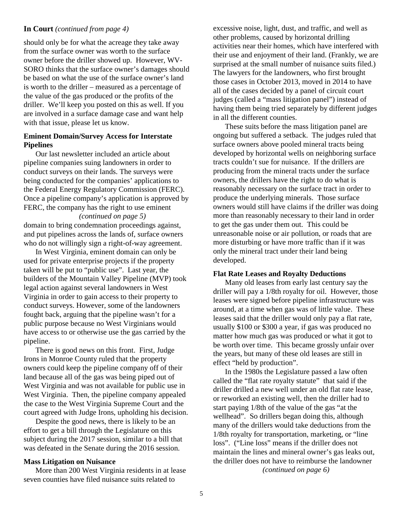## **In Court** *(continued from page 4)*

should only be for what the acreage they take away from the surface owner was worth to the surface owner before the driller showed up. However, WV-SORO thinks that the surface owner's damages should be based on what the use of the surface owner's land is worth to the driller – measured as a percentage of the value of the gas produced or the profits of the driller. We'll keep you posted on this as well. If you are involved in a surface damage case and want help with that issue, please let us know.

### **Eminent Domain/Survey Access for Interstate Pipelines**

Our last newsletter included an article about pipeline companies suing landowners in order to conduct surveys on their lands. The surveys were being conducted for the companies' applications to the Federal Energy Regulatory Commission (FERC). Once a pipeline company's application is approved by FERC, the company has the right to use eminent

### *(continued on page 5)*

domain to bring condemnation proceedings against, and put pipelines across the lands of, surface owners who do not willingly sign a right-of-way agreement.

In West Virginia, eminent domain can only be used for private enterprise projects if the property taken will be put to "public use". Last year, the builders of the Mountain Valley Pipeline (MVP) took legal action against several landowners in West Virginia in order to gain access to their property to conduct surveys. However, some of the landowners fought back, arguing that the pipeline wasn't for a public purpose because no West Virginians would have access to or otherwise use the gas carried by the pipeline.

There is good news on this front. First, Judge Irons in Monroe County ruled that the property owners could keep the pipeline company off of their land because all of the gas was being piped out of West Virginia and was not available for public use in West Virginia. Then, the pipeline company appealed the case to the West Virginia Supreme Court and the court agreed with Judge Irons, upholding his decision.

Despite the good news, there is likely to be an effort to get a bill through the Legislature on this subject during the 2017 session, similar to a bill that was defeated in the Senate during the 2016 session.

#### **Mass Litigation on Nuisance**

More than 200 West Virginia residents in at lease seven counties have filed nuisance suits related to

excessive noise, light, dust, and traffic, and well as other problems, caused by horizontal drilling activities near their homes, which have interfered with their use and enjoyment of their land. (Frankly, we are surprised at the small number of nuisance suits filed.) The lawyers for the landowners, who first brought those cases in October 2013, moved in 2014 to have all of the cases decided by a panel of circuit court judges (called a "mass litigation panel") instead of having them being tried separately by different judges in all the different counties.

These suits before the mass litigation panel are ongoing but suffered a setback. The judges ruled that surface owners above pooled mineral tracts being developed by horizontal wells on neighboring surface tracts couldn't sue for nuisance. If the drillers are producing from the mineral tracts under the surface owners, the drillers have the right to do what is reasonably necessary on the surface tract in order to produce the underlying minerals. Those surface owners would still have claims if the driller was doing more than reasonably necessary to their land in order to get the gas under them out. This could be unreasonable noise or air pollution, or roads that are more disturbing or have more traffic than if it was only the mineral tract under their land being developed.

### **Flat Rate Leases and Royalty Deductions**

Many old leases from early last century say the driller will pay a 1/8th royalty for oil. However, those leases were signed before pipeline infrastructure was around, at a time when gas was of little value. These leases said that the driller would only pay a flat rate, usually \$100 or \$300 a year, if gas was produced no matter how much gas was produced or what it got to be worth over time. This became grossly unfair over the years, but many of these old leases are still in effect "held by production".

In the 1980s the Legislature passed a law often called the "flat rate royalty statute" that said if the driller drilled a new well under an old flat rate lease, or reworked an existing well, then the driller had to start paying 1/8th of the value of the gas "at the wellhead". So drillers began doing this, although many of the drillers would take deductions from the 1/8th royalty for transportation, marketing, or "line loss". ("Line loss" means if the driller does not maintain the lines and mineral owner's gas leaks out, the driller does not have to reimburse the landowner

*(continued on page 6)*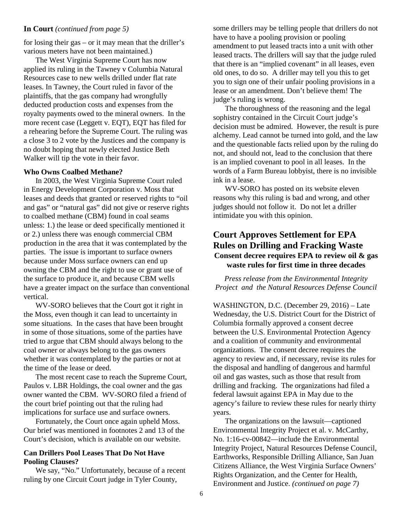### **In Court** *(continued from page 5)*

for losing their gas – or it may mean that the driller's various meters have not been maintained.)

The West Virginia Supreme Court has now applied its ruling in the Tawney v Columbia Natural Resources case to new wells drilled under flat rate leases. In Tawney, the Court ruled in favor of the plaintiffs, that the gas company had wrongfully deducted production costs and expenses from the royalty payments owed to the mineral owners. In the more recent case (Leggett v. EQT), EQT has filed for a rehearing before the Supreme Court. The ruling was a close 3 to 2 vote by the Justices and the company is no doubt hoping that newly elected Justice Beth Walker will tip the vote in their favor.

### **Who Owns Coalbed Methane?**

In 2003, the West Virginia Supreme Court ruled in Energy Development Corporation v. Moss that leases and deeds that granted or reserved rights to "oil and gas" or "natural gas" did not give or reserve rights to coalbed methane (CBM) found in coal seams unless: 1.) the lease or deed specifically mentioned it or 2.) unless there was enough commercial CBM production in the area that it was contemplated by the parties. The issue is important to surface owners because under Moss surface owners can end up owning the CBM and the right to use or grant use of the surface to produce it, and because CBM wells have a greater impact on the surface than conventional vertical.

WV-SORO believes that the Court got it right in the Moss, even though it can lead to uncertainty in some situations. In the cases that have been brought in some of those situations, some of the parties have tried to argue that CBM should always belong to the coal owner or always belong to the gas owners whether it was contemplated by the parties or not at the time of the lease or deed.

The most recent case to reach the Supreme Court, Paulos v. LBR Holdings, the coal owner and the gas owner wanted the CBM. WV-SORO filed a friend of the court brief pointing out that the ruling had implications for surface use and surface owners.

Fortunately, the Court once again upheld Moss. Our brief was mentioned in footnotes 2 and 13 of the Court's decision, which is available on our website.

### **Can Drillers Pool Leases That Do Not Have Pooling Clauses?**

We say, "No." Unfortunately, because of a recent ruling by one Circuit Court judge in Tyler County,

some drillers may be telling people that drillers do not have to have a pooling provision or pooling amendment to put leased tracts into a unit with other leased tracts. The drillers will say that the judge ruled that there is an "implied covenant" in all leases, even old ones, to do so. A driller may tell you this to get you to sign one of their unfair pooling provisions in a lease or an amendment. Don't believe them! The judge's ruling is wrong.

The thoroughness of the reasoning and the legal sophistry contained in the Circuit Court judge's decision must be admired. However, the result is pure alchemy. Lead cannot be turned into gold, and the law and the questionable facts relied upon by the ruling do not, and should not, lead to the conclusion that there is an implied covenant to pool in all leases. In the words of a Farm Bureau lobbyist, there is no invisible ink in a lease.

WV-SORO has posted on its website eleven reasons why this ruling is bad and wrong, and other judges should not follow it. Do not let a driller intimidate you with this opinion.

# **Court Approves Settlement for EPA Rules on Drilling and Fracking Waste Consent decree requires EPA to review oil & gas waste rules for first time in three decades**

*Press release from the Environmental Integrity Project and the Natural Resources Defense Council*

WASHINGTON, D.C. (December 29, 2016) – Late Wednesday, the U.S. District Court for the District of Columbia formally approved a consent decree between the U.S. Environmental Protection Agency and a coalition of community and environmental organizations. The consent decree requires the agency to review and, if necessary, revise its rules for the disposal and handling of dangerous and harmful oil and gas wastes, such as those that result from drilling and fracking. The organizations had filed a federal lawsuit against EPA in May due to the agency's failure to review these rules for nearly thirty years.

The organizations on the lawsuit—captioned Environmental Integrity Project et al. v. McCarthy, No. 1:16-cv-00842—include the Environmental Integrity Project, Natural Resources Defense Council, Earthworks, Responsible Drilling Alliance, San Juan Citizens Alliance, the West Virginia Surface Owners' Rights Organization, and the Center for Health, Environment and Justice. *(continued on page 7)*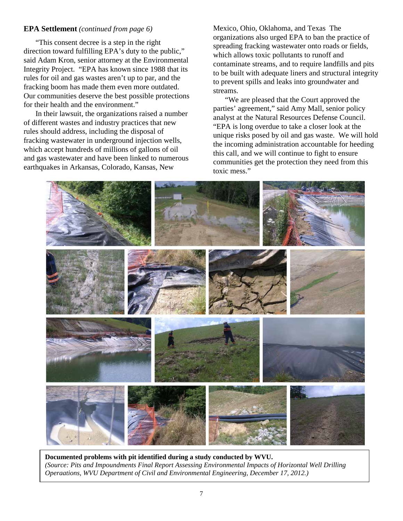## **EPA Settlement** *(continued from page 6)*

"This consent decree is a step in the right direction toward fulfilling EPA's duty to the public," said Adam Kron, senior attorney at the Environmental Integrity Project. "EPA has known since 1988 that its rules for oil and gas wastes aren't up to par, and the fracking boom has made them even more outdated. Our communities deserve the best possible protections for their health and the environment."

In their lawsuit, the organizations raised a number of different wastes and industry practices that new rules should address, including the disposal of fracking wastewater in underground injection wells, which accept hundreds of millions of gallons of oil and gas wastewater and have been linked to numerous earthquakes in Arkansas, Colorado, Kansas, New

Mexico, Ohio, Oklahoma, and Texas The organizations also urged EPA to ban the practice of spreading fracking wastewater onto roads or fields, which allows toxic pollutants to runoff and contaminate streams, and to require landfills and pits to be built with adequate liners and structural integrity to prevent spills and leaks into groundwater and streams.

"We are pleased that the Court approved the parties' agreement," said Amy Mall, senior policy analyst at the Natural Resources Defense Council. "EPA is long overdue to take a closer look at the unique risks posed by oil and gas waste. We will hold the incoming administration accountable for heeding this call, and we will continue to fight to ensure communities get the protection they need from this toxic mess."



**Documented problems with pit identified during a study conducted by WVU.** *(Source: Pits and Impoundments Final Report Assessing Environmental Impacts of Horizontal Well Drilling Operaations, WVU Department of Civil and Environmental Engineering, December 17, 2012.)*